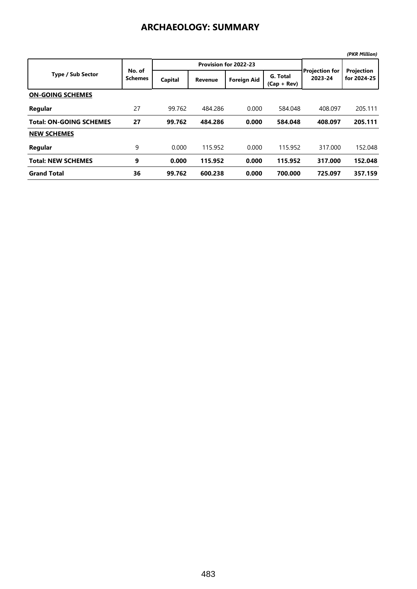## **ARCHAEOLOGY: SUMMARY**

|                                |                          |         |                       |                    |                           |                                  | (PKR Million)             |
|--------------------------------|--------------------------|---------|-----------------------|--------------------|---------------------------|----------------------------------|---------------------------|
|                                |                          |         | Provision for 2022-23 |                    |                           |                                  |                           |
| <b>Type / Sub Sector</b>       | No. of<br><b>Schemes</b> | Capital | <b>Revenue</b>        | <b>Foreign Aid</b> | G. Total<br>$(Cap + Rev)$ | <b>Projection for</b><br>2023-24 | Projection<br>for 2024-25 |
| <b>ON-GOING SCHEMES</b>        |                          |         |                       |                    |                           |                                  |                           |
| Regular                        | 27                       | 99.762  | 484,286               | 0.000              | 584.048                   | 408.097                          | 205.111                   |
| <b>Total: ON-GOING SCHEMES</b> | 27                       | 99.762  | 484.286               | 0.000              | 584.048                   | 408.097                          | 205.111                   |
| <b>NEW SCHEMES</b>             |                          |         |                       |                    |                           |                                  |                           |
| Regular                        | 9                        | 0.000   | 115.952               | 0.000              | 115.952                   | 317.000                          | 152.048                   |
| <b>Total: NEW SCHEMES</b>      | 9                        | 0.000   | 115.952               | 0.000              | 115.952                   | 317.000                          | 152.048                   |
| <b>Grand Total</b>             | 36                       | 99.762  | 600.238               | 0.000              | 700.000                   | 725.097                          | 357.159                   |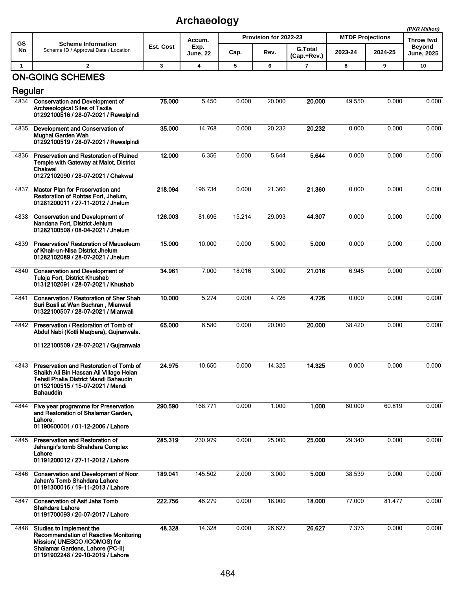## **Archaeology**

|              |                                                                                                                                                                              |           | , ,, ,,,,,,,,,,,,, |                       |        |                               |                         |           | (PKR Million)                      |
|--------------|------------------------------------------------------------------------------------------------------------------------------------------------------------------------------|-----------|--------------------|-----------------------|--------|-------------------------------|-------------------------|-----------|------------------------------------|
| GS           | <b>Scheme Information</b>                                                                                                                                                    |           | Accum.             | Provision for 2022-23 |        |                               | <b>MTDF Projections</b> | Throw fwd |                                    |
| No           | Scheme ID / Approval Date / Location                                                                                                                                         | Est. Cost | Exp.<br>June, 22   | Cap.                  | Rev.   | <b>G.Total</b><br>(Cap.+Rev.) | 2023-24                 | 2024-25   | <b>Beyond</b><br><b>June, 2025</b> |
| $\mathbf{1}$ | $\overline{2}$                                                                                                                                                               | 3         | 4                  | 5                     | 6      | $\overline{7}$                | 8                       | 9         | 10                                 |
|              | <b>ON-GOING SCHEMES</b>                                                                                                                                                      |           |                    |                       |        |                               |                         |           |                                    |
| Regular      |                                                                                                                                                                              |           |                    |                       |        |                               |                         |           |                                    |
| 4834         | <b>Conservation and Development of</b><br><b>Archaeological Sites of Taxila</b><br>01292100516 / 28-07-2021 / Rawalpindi                                                     | 75.000    | 5.450              | 0.000                 | 20.000 | 20.000                        | 49.550                  | 0.000     | 0.000                              |
| 4835         | Development and Conservation of<br><b>Mughal Garden Wah</b><br>01292100519 / 28-07-2021 / Rawalpindi                                                                         | 35.000    | 14.768             | 0.000                 | 20.232 | 20.232                        | 0.000                   | 0.000     | 0.000                              |
| 4836         | Preservation and Restoration of Ruined<br><b>Temple with Gateway at Malot, District</b><br>Chakwal<br>01272102090 / 28-07-2021 / Chakwal                                     | 12.000    | 6.356              | 0.000                 | 5.644  | 5.644                         | 0.000                   | 0.000     | 0.000                              |
| 4837         | Master Plan for Preservation and<br>Restoration of Rohtas Fort, Jhelum,<br>01281200011 / 27-11-2012 / Jhelum                                                                 | 218.094   | 196.734            | 0.000                 | 21.360 | 21.360                        | 0.000                   | 0.000     | 0.000                              |
| 4838         | <b>Conservation and Development of</b><br>Nandana Fort, District Jehlum<br>01282100508 / 08-04-2021 / Jhelum                                                                 | 126.003   | 81.696             | 15.214                | 29.093 | 44.307                        | 0.000                   | 0.000     | 0.000                              |
| 4839         | Preservation/ Restoration of Mausoleum<br>of Khair-un-Nisa District Jhelum<br>01282102089 / 28-07-2021 / Jhelum                                                              | 15.000    | 10.000             | 0.000                 | 5.000  | 5.000                         | 0.000                   | 0.000     | 0.000                              |
| 4840         | <b>Conservation and Development of</b><br>Tulaja Fort, District Khushab<br>01312102091 / 28-07-2021 / Khushab                                                                | 34.961    | 7.000              | 18.016                | 3.000  | 21.016                        | 6.945                   | 0.000     | 0.000                              |
| 4841         | <b>Conservation / Restoration of Sher Shah</b><br>Suri Boali at Wan Buchran, Mianwali<br>01322100507 / 28-07-2021 / Mianwali                                                 | 10.000    | 5.274              | 0.000                 | 4.726  | 4.726                         | 0.000                   | 0.000     | 0.000                              |
| 4842         | Preservation / Restoration of Tomb of<br>Abdul Nabi (Kotli Magbara), Gujranwala.                                                                                             | 65.000    | 6.580              | 0.000                 | 20.000 | 20.000                        | 38.420                  | 0.000     | 0.000                              |
|              | 01122100509 / 28-07-2021 / Gujranwala                                                                                                                                        |           |                    |                       |        |                               |                         |           |                                    |
| 4843         | Preservation and Restoration of Tomb of<br>Shaikh Ali Bin Hassan Ali Village Helan<br>Tehsil Phalia District Mandi Bahaudin<br>01152100515 / 15-07-2021 / Mandi<br>Bahauddin | 24.975    | 10.650             | 0.000                 | 14.325 | 14.325                        | 0.000                   | 0.000     | 0.000                              |
| 4844         | Five year programme for Preservation<br>and Restoration of Shalamar Garden.<br>Lahore,<br>01190600001 / 01-12-2006 / Lahore                                                  | 290.590   | 168.771            | 0.000                 | 1.000  | 1.000                         | 60.000                  | 60.819    | 0.000                              |
| 4845         | Preservation and Restoration of<br>Jahangir's tomb Shahdara Complex<br>Lahore<br>01191200012 / 27-11-2012 / Lahore                                                           | 285.319   | 230.979            | 0.000                 | 25.000 | 25.000                        | 29.340                  | 0.000     | 0.000                              |
| 4846         | <b>Conservation and Development of Noor</b><br>Jahan's Tomb Shahdara Lahore<br>01191300016 / 19-11-2013 / Lahore                                                             | 189.041   | 145.502            | 2.000                 | 3.000  | 5.000                         | 38.539                  | 0.000     | 0.000                              |
| 4847         | <b>Conservation of Asif Jahs Tomb</b><br>Shahdara Lahore<br>01191700093 / 20-07-2017 / Lahore                                                                                | 222.756   | 46.279             | 0.000                 | 18.000 | 18.000                        | 77.000                  | 81.477    | 0.000                              |
| 4848         | Studies to Implement the<br>Recommendation of Reactive Monitoring<br>Mission(UNESCO /ICOMOS) for<br>Shalamar Gardens, Lahore (PC-II)<br>01191902248 / 29-10-2019 / Lahore    | 48.328    | 14.328             | 0.000                 | 26.627 | 26.627                        | 7.373                   | 0.000     | 0.000                              |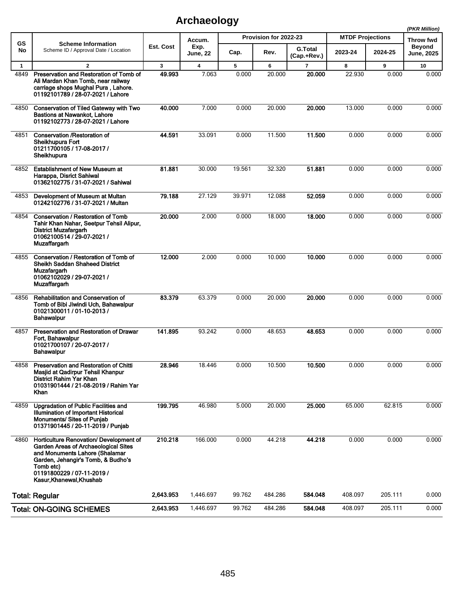## **Archaeology**

|                 |                                                                                                                                                                                                                                       |              |                  |                       |         |                               |                         |         | (PKR Million)               |
|-----------------|---------------------------------------------------------------------------------------------------------------------------------------------------------------------------------------------------------------------------------------|--------------|------------------|-----------------------|---------|-------------------------------|-------------------------|---------|-----------------------------|
| <b>GS</b><br>No | <b>Scheme Information</b><br>Scheme ID / Approval Date / Location                                                                                                                                                                     |              | Accum.           | Provision for 2022-23 |         |                               | <b>MTDF Projections</b> |         | <b>Throw fwd</b>            |
|                 |                                                                                                                                                                                                                                       | Est. Cost    | Exp.<br>June, 22 | Cap.                  | Rev.    | <b>G.Total</b><br>(Cap.+Rev.) | 2023-24                 | 2024-25 | <b>Beyond</b><br>June, 2025 |
| $\mathbf{1}$    | $\mathbf{2}$                                                                                                                                                                                                                          | $\mathbf{3}$ | 4                | 5                     | 6       | 7                             | 8                       | 9       | 10                          |
| 4849            | Preservation and Restoration of Tomb of<br>Ali Mardan Khan Tomb, near railway<br>carriage shops Mughal Pura, Lahore.<br>01192101789 / 28-07-2021 / Lahore                                                                             | 49.993       | 7.063            | 0.000                 | 20.000  | 20.000                        | 22.930                  | 0.000   | 0.000                       |
| 4850            | <b>Conservation of Tiled Gateway with Two</b><br><b>Bastions at Nawankot, Lahore</b><br>01192102773 / 28-07-2021 / Lahore                                                                                                             | 40.000       | 7.000            | 0.000                 | 20.000  | 20,000                        | 13.000                  | 0.000   | 0.000                       |
| 4851            | <b>Conservation /Restoration of</b><br>Sheikhupura Fort<br>01211700105 / 17-08-2017 /<br>Sheikhupura                                                                                                                                  | 44.591       | 33.091           | 0.000                 | 11.500  | 11.500                        | 0.000                   | 0.000   | 0.000                       |
| 4852            | <b>Establishment of New Museum at</b><br>Harappa, Disrict Sahiwal<br>01362102775 / 31-07-2021 / Sahiwal                                                                                                                               | 81.881       | 30.000           | 19.561                | 32.320  | 51.881                        | 0.000                   | 0.000   | 0.000                       |
| 4853            | Development of Museum at Multan<br>01242102776 / 31-07-2021 / Multan                                                                                                                                                                  | 79.188       | 27.129           | 39.971                | 12.088  | 52.059                        | 0.000                   | 0.000   | 0.000                       |
| 4854            | <b>Conservation / Restoration of Tomb</b><br>Tahir Khan Nahar, Seetpur Tehsil Alipur,<br><b>District Muzafargarh</b><br>01062100514 / 29-07-2021 /<br><b>Muzaffargarh</b>                                                             | 20.000       | 2.000            | 0.000                 | 18.000  | 18.000                        | 0.000                   | 0.000   | 0.000                       |
| 4855            | Conservation / Restoration of Tomb of<br>Sheikh Saddan Shaheed District<br>Muzafargarh<br>01062102029 / 29-07-2021 /<br>Muzaffargarh                                                                                                  | 12.000       | 2.000            | 0.000                 | 10.000  | 10.000                        | 0.000                   | 0.000   | 0.000                       |
| 4856            | Rehabilitation and Conservation of<br>Tomb of Bibi Jiwindi Uch, Bahawalpur<br>01021300011 / 01-10-2013 /<br><b>Bahawalpur</b>                                                                                                         | 83.379       | 63.379           | 0.000                 | 20.000  | 20.000                        | 0.000                   | 0.000   | 0.000                       |
| 4857            | Preservation and Restoration of Drawar<br>Fort, Bahawalpur<br>01021700107 / 20-07-2017 /<br><b>Bahawalpur</b>                                                                                                                         | 141.895      | 93.242           | 0.000                 | 48.653  | 48.653                        | 0.000                   | 0.000   | 0.000                       |
| 4858            | <b>Preservation and Restoration of Chitti</b><br>Masjid at Qadirpur Tehsil Khanpur<br>District Rahim Yar Khan<br>01031901444 / 21-08-2019 / Rahim Yar<br>Khan                                                                         | 28.946       | 18.446           | 0.000                 | 10.500  | 10.500                        | 0.000                   | 0.000   | 0.000                       |
| 4859            | <b>Upgradation of Public Facilities and</b><br>Illumination of Important Historical<br><b>Monuments/ Sites of Punjab</b><br>01371901445 / 20-11-2019 / Punjab                                                                         | 199.795      | 46.980           | 5.000                 | 20.000  | 25.000                        | 65.000                  | 62.815  | 0.000                       |
| 4860            | Horticulture Renovation/ Development of<br><b>Garden Areas of Archaeological Sites</b><br>and Monuments Lahore (Shalamar<br>Garden, Jehangir's Tomb, & Budho's<br>Tomb etc)<br>01191800229 / 07-11-2019 /<br>Kasur, Khanewal, Khushab | 210.218      | 166.000          | 0.000                 | 44.218  | 44.218                        | 0.000                   | 0.000   | 0.000                       |
|                 | <b>Total: Regular</b>                                                                                                                                                                                                                 | 2,643.953    | 1,446.697        | 99.762                | 484.286 | 584.048                       | 408.097                 | 205.111 | 0.000                       |
|                 | <b>Total: ON-GOING SCHEMES</b>                                                                                                                                                                                                        | 2,643.953    | 1,446.697        | 99.762                | 484.286 | 584.048                       | 408.097                 | 205.111 | 0.000                       |